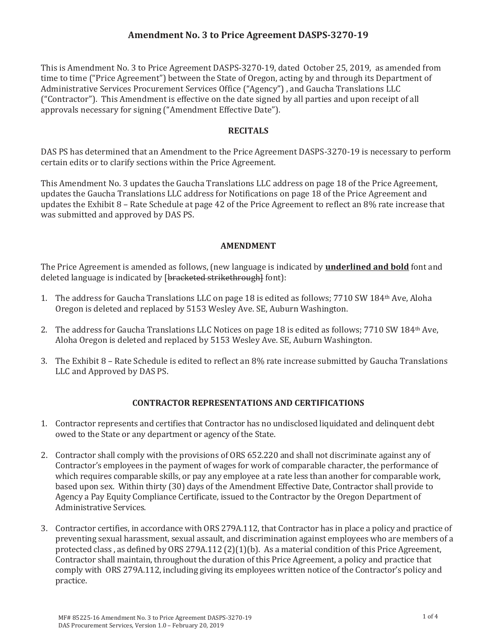# **Amendment No. 3 to Price Agreement DASPSǦ3270Ǧ19**

This is Amendment No. 3 to Price Agreement DASPS-3270-19, dated October 25, 2019, as amended from time to time ("Price Agreement") between the State of Oregon, acting by and through its Department of Administrative Services Procurement Services Office ("Agency") , and Gaucha Translations LLC ("Contractor"). This Amendment is effective on the date signed by all parties and upon receipt of all approvals necessary for signing ("Amendment Effective Date").

### **RECITALS**

DAS PS has determined that an Amendment to the Price Agreement DASPS-3270-19 is necessary to perform certain edits or to clarify sections within the Price Agreement.

This Amendment No. 3 updates the Gaucha Translations LLC address on page 18 of the Price Agreement, updates the Gaucha Translations LLC address for Notifications on page 18 of the Price Agreement and updates the Exhibit 8 – Rate Schedule at page 42 of the Price Agreement to reflect an 8% rate increase that was submitted and approved by DAS PS.

### **AMENDMENT**

The Price Agreement is amended as follows, (new language is indicated by **underlined and bold** font and deleted language is indicated by [bracketed strikethrough] font]:

- 1. The address for Gaucha Translations LLC on page 18 is edited as follows; 7710 SW 184th Ave, Aloha Oregon is deleted and replaced by 5153 Wesley Ave. SE, Auburn Washington.
- 2. The address for Gaucha Translations LLC Notices on page 18 is edited as follows; 7710 SW 184th Ave, Aloha Oregon is deleted and replaced by 5153 Wesley Ave. SE, Auburn Washington.
- 3. The Exhibit 8 Rate Schedule is edited to reflect an 8% rate increase submitted by Gaucha Translations LLC and Approved by DAS PS.

## **CONTRACTOR REPRESENTATIONS AND CERTIFICATIONS**

- 1. Contractor represents and certifies that Contractor has no undisclosed liquidated and delinquent debt owed to the State or any department or agency of the State.
- 2. Contractor shall comply with the provisions of ORS 652.220 and shall not discriminate against any of Contractor's employees in the payment of wages for work of comparable character, the performance of which requires comparable skills, or pay any employee at a rate less than another for comparable work, based upon sex. Within thirty (30) days of the Amendment Effective Date, Contractor shall provide to Agency a Pay Equity Compliance Certificate, issued to the Contractor by the Oregon Department of Administrative Services.
- 3. Contractor certifies, in accordance with ORS 279A.112, that Contractor has in place a policy and practice of preventing sexual harassment, sexual assault, and discrimination against employees who are members of a protected class , as defined by ORS 279A.112 (2)(1)(b). As a material condition of this Price Agreement, Contractor shall maintain, throughout the duration of this Price Agreement, a policy and practice that comply with ORS 279A.112, including giving its employees written notice of the Contractor's policy and practice.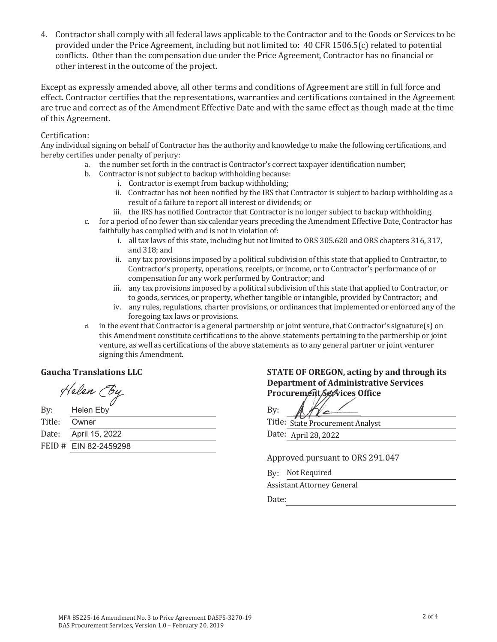4. Contractor shall comply with all federal laws applicable to the Contractor and to the Goods or Services to be provided under the Price Agreement, including but not limited to: 40 CFR 1506.5(c) related to potential conflicts. Other than the compensation due under the Price Agreement, Contractor has no financial or other interest in the outcome of the project.

Except as expressly amended above, all other terms and conditions of Agreement are still in full force and effect. Contractor certifies that the representations, warranties and certifications contained in the Agreement are true and correct as of the Amendment Effective Date and with the same effect as though made at the time of this Agreement.

#### Certification:

Any individual signing on behalf of Contractor has the authority and knowledge to make the following certifications, and hereby certifies under penalty of perjury:

- a. the number set forth in the contract is Contractor's correct taxpayer identification number;
- b. Contractor is not subject to backup withholding because:
	- i. Contractor is exempt from backup withholding;
		- ii. Contractor has not been notified by the IRS that Contractor is subject to backup withholding as a result of a failure to report all interest or dividends; or
	- iii. the IRS has notified Contractor that Contractor is no longer subject to backup withholding.
- c. for a period of no fewer than six calendar years preceding the Amendment Effective Date, Contractor has faithfully has complied with and is not in violation of:
	- i. all tax laws of this state, including but not limited to ORS 305.620 and ORS chapters 316, 317, and 318; and
	- ii. any tax provisions imposed by a political subdivision of this state that applied to Contractor, to Contractor's property, operations, receipts, or income, or to Contractor's performance of or compensation for any work performed by Contractor; and
	- iii. any tax provisions imposed by a political subdivision of this state that applied to Contractor, or to goods, services, or property, whether tangible or intangible, provided by Contractor; and
	- iv. any rules, regulations, charter provisions, or ordinances that implemented or enforced any of the foregoing tax laws or provisions.
- d. in the event that Contractor is a general partnership or joint venture, that Contractor's signature(s) on this Amendment constitute certifications to the above statements pertaining to the partnership or joint venture, as well as certifications of the above statements as to any general partner or joint venturer signing this Amendment.

### **cha Translations**

Helen (By

| By:    | Helen Eby             | Bv:    |
|--------|-----------------------|--------|
| Title: | Owner                 | Title: |
|        | Date: April 15, 2022  | Date:  |
|        | FEID # EIN 82-2459298 |        |

### **STATE OF OREGON, acting by and through its Department of Administrative Services** Procurement Services Office

He

Title: State Procurement Analyst Date: April 28, 2022

Approved pursuant to ORS 291.047

By: Not Required

Assistant Attorney General

discussed by the contract of the Date: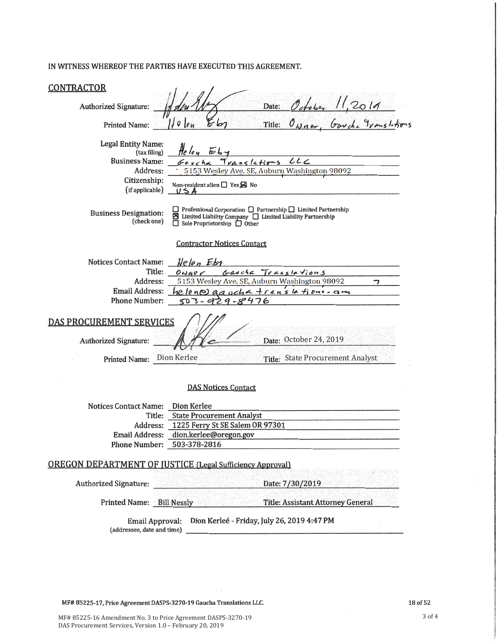### IN WITNESS WHEREOF THE PARTIES HAVE EXECUTED THIS AGREEMENT.

| <u>CONTRACTOR</u>                                                                                                                                                                                                                                     |                                                                                                                             |                                                    |                                                            |  |
|-------------------------------------------------------------------------------------------------------------------------------------------------------------------------------------------------------------------------------------------------------|-----------------------------------------------------------------------------------------------------------------------------|----------------------------------------------------|------------------------------------------------------------|--|
| Authorized Signature:                                                                                                                                                                                                                                 |                                                                                                                             |                                                    | Date: October 11,2019<br>Title: Owner, Garche Translations |  |
| <b>Printed Name:</b>                                                                                                                                                                                                                                  | II e len<br>Ьп                                                                                                              |                                                    |                                                            |  |
| <b>Legal Entity Name:</b><br>(tax filing)<br><b>Business Name:</b><br>Address:<br>Citizenship:<br>(if applicable)                                                                                                                                     | Helen<br>$E_4$<br>Garcha Translations<br>Non-resident alien $\Box$ Yes $\boxtimes$ No<br>$U \leq A$                         | LL<br>5153 Wesley Ave. SE, Auburn Washington 98092 |                                                            |  |
| $\Box$ Professional Corporation $\Box$ Partnership $\Box$ Limited Partnership<br><b>Business Designation:</b><br>$\boxtimes$ Limited Liability Company $\Box$ Limited Liability Partnership<br>(check one)<br>$\Box$ Sole Proprietorship $\Box$ Other |                                                                                                                             |                                                    |                                                            |  |
| <b>Contractor Notices Contact</b>                                                                                                                                                                                                                     |                                                                                                                             |                                                    |                                                            |  |
| <b>Notices Contact Name:</b><br>Title:<br>Address:<br><b>Email Address:</b><br><b>Phone Number:</b>                                                                                                                                                   | Helen Eby<br>$0\omega$ ner<br>5153 Wesley Ave. SE, Auburn Washington 98092<br>$helen@Qaucha translafinns-1$<br>503-929-8476 | Gaucha Translations                                | っ                                                          |  |
| <b>DAS PROCUREMENT SERVICES</b><br>Date: October 24, 2019<br>Authorized Signature:                                                                                                                                                                    |                                                                                                                             |                                                    |                                                            |  |
| <b>Printed Name:</b>                                                                                                                                                                                                                                  | Dion Kerlee                                                                                                                 | <b>State Procurement Analyst</b><br>Title:         |                                                            |  |
|                                                                                                                                                                                                                                                       | <b>DAS Notices Contact</b>                                                                                                  |                                                    |                                                            |  |
| Notices Contact Name:                                                                                                                                                                                                                                 | Dion Kerlee                                                                                                                 |                                                    |                                                            |  |
| Title:<br>Address:                                                                                                                                                                                                                                    | <b>State Procurement Analyst</b>                                                                                            |                                                    |                                                            |  |
| <b>Email Address:</b>                                                                                                                                                                                                                                 | 1225 Ferry St SE Salem OR 97301<br>dion.kerlee@oregon.gov                                                                   |                                                    |                                                            |  |
| Phone Number: 503-378-2816                                                                                                                                                                                                                            |                                                                                                                             |                                                    |                                                            |  |
| <b>OREGON DEPARTMENT OF JUSTICE (Legal Sufficiency Approval)</b>                                                                                                                                                                                      |                                                                                                                             |                                                    |                                                            |  |
| Authorized Signature: Authorized Signature:                                                                                                                                                                                                           |                                                                                                                             | Date: 7/30/2019                                    |                                                            |  |
| Printed Name: Bill Nessly                                                                                                                                                                                                                             |                                                                                                                             | <b>Title: Assistant Attorney General</b>           |                                                            |  |
| Dion Kerleé - Friday, July 26, 2019 4:47 PM<br><b>Email Approval:</b><br>(addressee, date and time)                                                                                                                                                   |                                                                                                                             |                                                    |                                                            |  |